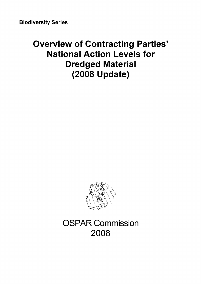# **Overview of Contracting Parties' National Action Levels for Dredged Material (2008 Update)**



OSPAR Commission **2008**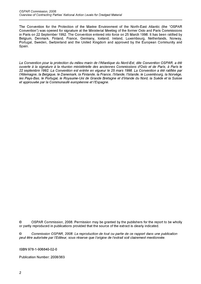The Convention for the Protection of the Marine Environment of the North-East Atlantic (the "OSPAR Convention") was opened for signature at the Ministerial Meeting of the former Oslo and Paris Commissions in Paris on 22 September 1992. The Convention entered into force on 25 March 1998. It has been ratified by Belgium, Denmark, Finland, France, Germany, Iceland, Ireland, Luxembourg, Netherlands, Norway, Portugal, Sweden, Switzerland and the United Kingdom and approved by the European Community and Spain.

*La Convention pour la protection du milieu marin de ¡'Atlantique du Nord-Est, dite Convention OSPAR, a été ouverte à la signature à la réunion ministérielle des anciennes Commissions d'Oslo et de Paris, à Paris le 22 septembre 1992. La Convention est entrée en vigueur le 25 mars 1998. La Convention a été ratifiée par l'Allemagne, la Belgique, le Danemark, la Finlande, la France, l'Irlande, l'Islande, le Luxembourg, la Norvège, les Pays-Bas, le Portugal, le Royaume-Uni de Grande Bretagne et d'Irlande du Nord, la Suède et la Suisse et approuvée parla Communauté européenne et l'Espagne.*

© OSPAR Commission, 2008. Permission may be granted by the publishers for the report to be wholly or partly reproduced in publications provided that the source of the extract is clearly indicated.

© *Commission OSPAR, 2008. La reproduction de tout ou partie de ce rapport dans une publication peut être autorisée par l'Editeur, sous réserve que l 'origine de l'extrait soit clairement mentionnée.*

ISBN 978-1-906840-02-0

Publication Number: 2008/363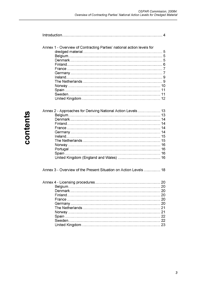| Annex 1 - Overview of Contracting Parties' national action levels for |    |
|-----------------------------------------------------------------------|----|
|                                                                       |    |
|                                                                       |    |
|                                                                       |    |
|                                                                       |    |
|                                                                       |    |
|                                                                       |    |
|                                                                       |    |
|                                                                       |    |
|                                                                       |    |
|                                                                       |    |
|                                                                       |    |
|                                                                       |    |
| Annex 2 - Approaches for Deriving National Action Levels 13           |    |
|                                                                       |    |
|                                                                       |    |
|                                                                       |    |
|                                                                       |    |
|                                                                       |    |
|                                                                       |    |
|                                                                       |    |
|                                                                       |    |
|                                                                       |    |
|                                                                       |    |
|                                                                       |    |
|                                                                       |    |
| Annex 3 - Overview of the Present Situation on Action Levels  18      |    |
|                                                                       |    |
|                                                                       | 20 |
|                                                                       |    |
|                                                                       |    |
|                                                                       |    |
|                                                                       |    |
|                                                                       |    |
|                                                                       |    |
| Spain                                                                 |    |
|                                                                       |    |
|                                                                       |    |
|                                                                       |    |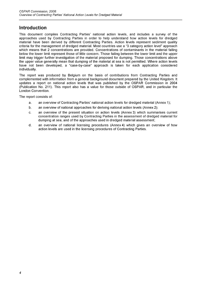# <span id="page-3-0"></span>**Introduction**

This document compiles Contracting Parties' national action levels, and includes a survey of the approaches used by Contracting Parties in order to help understand how action levels for dredged material have been derived by different Contracting Parties. Action levels represent sediment quality criteria for the management of dredged material. Most countries use a "3 category action level" approach which means that 2 concentrations are provided. Concentrations of contaminants in the material falling below the lower limit represent those of little concern. Those failing between the lower limit and the upper limit may trigger further investigation of the material proposed for dumping. Those concentrations above the upper value generally mean that dumping of the material at sea is not permitted. Where action levels have not been developed, a "case-by-case" approach is taken for each application considered individually.

The report was produced by Belgium on the basis of contributions from Contracting Parties and complemented with information from a general background document prepared by the United Kingdom. It updates a report on national action levels that was published by the OSPAR Commission in 2004 (Publication No. 211). This report also has a value for those outside of OSPAR, and in particular the London Convention.

The report consists of:

- a. an overview of Contracting Parties' national action levels for dredged material (Annex 1);
- b. an overview of national approaches for deriving national action levels (Annex 2);
- c. an overview of the present situation on action levels (Annex 3) which summarises current concentration ranges used by Contracting Parties in the assessment of dredged material for dumping at sea, and of the approaches used in dredged material assessment;
- d. an overview of national licensing procedures (Annex4) which gives an overview of how action levels are used in the licensing procedures of Contracting Parties.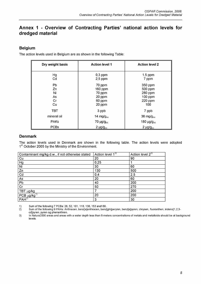# **Annex 1 - Overview of Contracting Parties' national action levels for dredged material**

# <span id="page-4-0"></span>**Belgium**

The action levels used in Belgium are as shown in the following Table:

| Dry weight basis | <b>Action level 1</b>    | <b>Action level 2</b>     |
|------------------|--------------------------|---------------------------|
| Hg<br>Cd         | $0,3$ ppm<br>$2,5$ ppm   | $1,5$ ppm<br>7 ppm        |
| Pb<br>Zn         | 70 ppm<br>160 ppm        | 350 ppm<br>500 ppm        |
| Ni<br>As         | 70 ppm<br>20 ppm         | 280 ppm<br>$100$ ppm      |
| Cr<br>Cu         | 60 ppm<br>20 ppm         | 220 ppm<br>100            |
| TBT              | 3 ppb                    | 7 ppb                     |
| mineral oil      | 14 mg/ $g_{\rm oc}$      | 36 mg/g $_{\infty}$       |
| <b>PAKs</b>      | $70 \mu g/g_{\text{oc}}$ | 180 $\mu$ g/g $_{\infty}$ |
| <b>PCBs</b>      | $2 \mu g/g_{\infty}$     | $2 \mu g/g_{\rm oc}$      |

# <span id="page-4-1"></span>**Denmark**

The action levels used in Denmark are shown in the following table. The action levels were adopted 1<sup>st</sup> October 2005 by the Ministry of the Environment.

| Contaminant mg/kg d.w., if not otherwise stated               | Action level $1^{3}$ | Action level $2^{3}$ |
|---------------------------------------------------------------|----------------------|----------------------|
| Cu                                                            | 20                   | 90                   |
| Hg                                                            | 0,25                 |                      |
| Ni                                                            | 30                   | 60                   |
| Zn                                                            | 130                  | 500                  |
| Cd                                                            | 0,4                  | 2,5                  |
| As                                                            | 20                   | 60                   |
| Pb                                                            | 40                   | 200                  |
| Cr                                                            | 50                   | 270                  |
| TBT µg/kg                                                     |                      | 200                  |
| $\frac{\mathsf{PCB}\ \mu\mathsf{g/kg}^{1}}{\mathsf{PAH}^{2}}$ | 20                   | 200                  |
|                                                               | 3                    | 30                   |

1) Sum of the following 7 PCBs: 28, 52, 101, 118, 138, 153 and180.<br>2) Sum of the following 9 PAHs: Anthracen, benz[a]anthracen, benz

2) Sum ofthe following 9 PAHs: Anthracen, benz[a]anthracen, benz[ghi]perylen, benz[a]pyren, chrysen, fluoranthen, indeno[1,2,3 cd]pyren, pyren og phenanthren.

3) In Natura2000 areas and areas with a water depth less than 6-meters concentrations of metals and metalloids should be at background levels.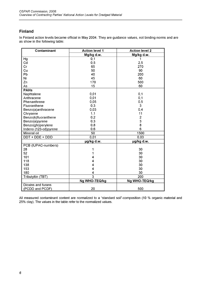# <span id="page-5-0"></span>**Finland**

In Finland action levels became official in May 2004. They are guidance values, not binding norms and are as show in the following table:

| Contaminant           | <b>Action level 1</b> | <b>Action level 2</b> |
|-----------------------|-----------------------|-----------------------|
|                       | Mg/kg d.w.            | Mg/kg d.w.            |
| Hg                    | 0,1                   | 1                     |
| Cd                    | 0,5                   | 2,5                   |
| Cr                    | 65                    | 270                   |
| Cu                    | 50                    | 90                    |
| Pb                    | 40                    | 200                   |
| Ni                    | 45                    | 60                    |
| Zn                    | 170                   | 500                   |
| As                    | 15                    | 60                    |
| <b>PAHs</b>           |                       |                       |
| Naphtalene            | 0,01                  | 0,1                   |
| Anthracene            | 0,01                  | 0,1                   |
| Phenanthrene          | 0,05                  | 0,5                   |
| Fluoranthene          | 0,3                   | 3                     |
| Benzo(a)anthracene    | 0,03                  | 0,4                   |
| Chrysene              | 1,1                   | 11                    |
| Benzo(k)fluoranthene  | 0,2                   | $\overline{c}$        |
| Benzo(a)pyrene        | 0,3                   | 3                     |
| Benzo(ghi)perylene    | 0,8                   | 8                     |
| Indeno (123-cd)pyrene | 0,6                   | 6                     |
| <b>Mineral oil</b>    | 50                    | 1500                  |
| DDT + DDE + DDD       | 0,01                  | 0,03                  |
|                       | µg/kg d.w.            | µg/kg d.w.            |
| PCB (IUPAC-numbers)   |                       |                       |
| 28                    |                       | 30                    |
| 52                    |                       | 30                    |
| 101                   |                       | 30                    |
| 118                   | 4                     | 30                    |
| 138                   | 4                     | 30                    |
| 153                   | 4                     | 30                    |
| 180                   | 4                     | 30                    |
| Tributyltin (TBT)     | $\overline{3}$        | 200                   |
|                       | Ng WHO-TEQ/kg         | Ng WHO-TEQ/kg         |
| Dioxins and furans    |                       |                       |
| (PCDD and PCDF)       | 20                    | 500                   |

All measured contaminant content are normalized to a "standard soil"-composition (10 % organic material and 25% clay). The values in the table refer to the normalized values.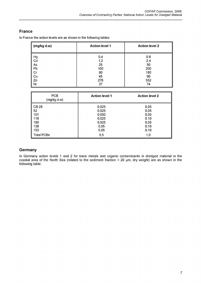# <span id="page-6-0"></span>**France**

In France the action levels are as shown in the following tables:

| ∥ (mg/kg d.w) | <b>Action level 1</b> | <b>Action level 2</b> |
|---------------|-----------------------|-----------------------|
| Hg            | 0,4                   | 0,8                   |
| Cd            | 1,2                   | 2,4                   |
| As<br>Pb      | 25                    | 50                    |
|               | 100                   | 200                   |
| Cr            | 90                    | 180                   |
| Cu            | 45                    | 90                    |
| Zn            | 276                   | 552                   |
| Ni            | 37                    | 74                    |

| <b>PCB</b><br>(mg/kg d.w) | <b>Action level 1</b> | <b>Action level 2</b> |
|---------------------------|-----------------------|-----------------------|
| <b>CB28</b>               | 0,025                 | 0,05                  |
| 52                        | 0,025                 | 0,05                  |
| 101                       | 0,050                 | 0,05                  |
| 118                       | 0,025                 | 0.10                  |
| 180                       | 0,025                 | 0,05                  |
| 138                       | 0,05                  | 0,10                  |
| 153                       | 0,05                  | 0,10                  |
| <b>Total PCBs</b>         | 0,5                   | 1,0                   |

# <span id="page-6-1"></span>**Germany**

In Germany action levels 1 and 2 for trace metals and organic contaminants in dredged material in the coastal area of the North Sea (related to the sediment fraction < 20 gm, dry weight) are as shown in the following table: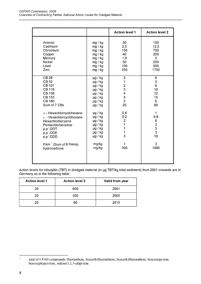|                                                                                                                                                                      |                                                                                                                                              | <b>Action level 1</b>                                                                                     | <b>Action level 2</b>                                              |
|----------------------------------------------------------------------------------------------------------------------------------------------------------------------|----------------------------------------------------------------------------------------------------------------------------------------------|-----------------------------------------------------------------------------------------------------------|--------------------------------------------------------------------|
| Arsenic<br>Cadmium<br>Chromium<br>Copper<br>Mercury<br><b>Nickel</b><br>Lead<br>Zinc                                                                                 | mg / kg<br>mg / kg<br>mg / kg<br>mg / kg<br>mg / kg<br>mg / kg<br>mg / kg<br>mg / kg                                                         | 30<br>2,5<br>150<br>40<br>1,0<br>50<br>100<br>350                                                         | 150<br>12,5<br>750<br>200<br>$5\phantom{.0}$<br>250<br>500<br>1750 |
| <b>CB 28</b><br><b>CB 52</b><br><b>CB 101</b><br><b>CB 118</b><br><b>CB 138</b><br><b>CB 153</b><br><b>CB 180</b><br>Sum of 7 CBs<br>$\alpha$ - Hexachlorcyclohexane | $\mu$ g / kg<br>$\mu$ g / kg<br>$\mu$ g / kg<br>$\mu$ g / kg<br>$\mu$ g / kg<br>$\mu$ g / kg<br>$\mu$ g / kg<br>$\mu$ g / kg<br>$\mu$ g / kg | $\overline{2}$<br>$\mathbf 1$<br>$\frac{2}{3}$<br>$\begin{array}{c} 4 \\ 5 \\ 2 \end{array}$<br>20<br>0,4 | 6<br>3<br>6<br>10<br>12<br>15<br>6<br>60<br>$\mathbf 1$            |
| $\gamma$ - Hexachlorcyclohexane<br>Hexachlorbenzene<br>Pentachlorbenzene<br>p,p'-DDT<br>p,p'-DDE<br>p,p'-DDD                                                         | $\mu$ g / kg<br>$\mu$ g / kg<br>$\mu$ g / kg<br>$\mu$ g / kg<br>$\mu$ g / kg<br>$\mu$ g / kg                                                 | 0,2<br>$\begin{array}{c} 2 \\ 1 \end{array}$<br>$\mathbf{1}$<br>1<br>3                                    | 0,6<br>6<br>3<br>3<br>3<br>10                                      |
| $PAH1$ (Sum of 6 PAHs)<br>hydrocarbons                                                                                                                               | mg/kg<br>mg/kg                                                                                                                               | 1<br>300                                                                                                  | 3<br>1000                                                          |

Action levels for tributyltin (TBT) in dredged material (in µg TBT/kg total sediment) from 2001 onwards are in Germany as in the following table:

| <b>Action level 1</b> | <b>Action level 2</b> | Valid from year |
|-----------------------|-----------------------|-----------------|
| 20                    | 600                   | 2001            |
| 20                    | 300                   | 2005            |
| חל                    | 60                    | 2010            |

 $\,1\,$ 

**total of 6 PAH compounds: fluoranthene, benzo(b)fluoranthene, benzo(k)fluoranthene, benzo(a)pyrene, benzo(ghi)perylene, indeno( 1,2,3 -cd)pyrene**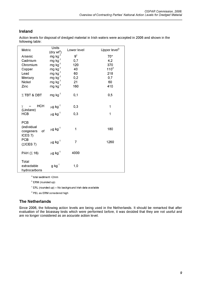# <span id="page-8-0"></span>**Ireland**

Action levels for disposal of dredged material in Irish waters were accepted in 2006 and shown in the following table:

| Metric                                                     | Units<br>(dry wtª)       | Lower level    | Upper level <sup>b</sup> |
|------------------------------------------------------------|--------------------------|----------------|--------------------------|
| Arsenic                                                    | $mg kg^{-1}$             | $9^\circ$      | $70*$                    |
| Cadmium                                                    | mg $kg^{-1}$             | 0,7            | 4,2                      |
| Chromium                                                   | mg $kg^{-1}$             | 120            | 370                      |
| Copper                                                     | mg $kg^{-1}$             | 40             | $110^d$                  |
| Lead                                                       | mg kg $^{-1}$            | 60             | 218                      |
| Mercury                                                    | mg $kg^{-1}$             | 0,2            | 0,7                      |
| Nickel                                                     | mg $kg^{-1}$             | 21             | 60                       |
| Zinc                                                       | mg kg $^{-1}$            | 160            | 410                      |
| $\Sigma$ TBT & DBT                                         | $mg$ kg <sup>-1</sup>    | 0,1            | 0,5                      |
| HCH<br>$\gamma$<br>(Lindane)                               | $\mu$ g kg <sup>-1</sup> | 0,3            | 1                        |
| <b>HCB</b>                                                 | $\mu$ g kg <sup>-1</sup> | 0,3            | 1                        |
| <b>PCB</b><br>(individual<br>οf<br>congeners<br>ICES $7$ ) | $\mu g$ $\text{kg}^{-1}$ | 1              | 180                      |
| <b>PCB</b><br>$(\Sigma$ ICES 7)                            | $\mu$ g kg $^{-1}$       | $\overline{7}$ | 1260                     |
| PAH $(\Sigma$ 16)                                          | $\mu$ g kg <sup>-1</sup> | 4000           |                          |
| Total<br>extractable<br>hydrocarbons                       | $g$ kg <sup>-1</sup>     | 1,0            |                          |

a total sediment <2mm

**b** ERM (rounded up)

 $\textdegree$  ERL (rounded up) - No background Irish data available

<sup>d</sup> PEL as ERM considered high

# <span id="page-8-1"></span>**The Netherlands**

Since 2006, the following action levels are being used in the Netherlands. It should be remarked that after evaluation of the bioassay tests which were performed before, it was decided that they are not useful and are no longer considered as an accurate action level.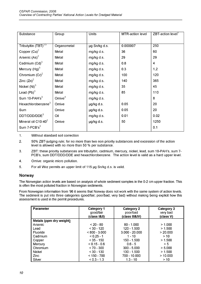| Substance                        | Group              | Units         | MTR-action level | $ZBT$ -action level <sup>1</sup> |
|----------------------------------|--------------------|---------------|------------------|----------------------------------|
|                                  |                    |               |                  |                                  |
| Tributyltin (TBT) <sup>3,5</sup> | Organometal        | µg Sn/kg d.s. | 0.000007         | 250                              |
| Copper $(Cu)^2$                  | Metal              | mg/kg d.s.    | 36               | 60                               |
| Arsenic $(As)^2$                 | Metal              | mg/kg d.s.    | 29               | 29                               |
| Cadmium $(Cd)^3$                 | Metal              | mg/kg d.s.    | 0.8              | 4                                |
| Mercury $(Hg)^3$                 | Metal              | mg/kg d.s.    | 0.3              | 1,2                              |
| Chromium $(Cr)^2$                | Metal              | mg/kg d.s.    | 100              | 120                              |
| Zinc $(Zn)^2$                    | Metal              | mg/kg d.s.    | 140              | 365                              |
| Nickel $(Ni)^3$                  | Metal              | mg/kg d.s.    | 35               | 45                               |
| Lead $(Pb)^3$                    | Metal              | mg/kg d.s.    | 85               | 110                              |
| Sum $10$ -PAH's $3$              | Omive <sup>4</sup> | mg/kg d.s.    |                  | 8                                |
| Hexachlorobenzene <sup>3</sup>   | Omive              | µg/kg d.s.    | 0.05             | 20                               |
| Sum                              | Omive              | µg/kg d.s.    | 0.05             | 20                               |
| DDT/DDD/DDE <sup>3</sup>         | Oil                | mg/kg d.s.    | 0.01             | 0.02                             |
| Mineral oil $C$ 10-40 $2$        | Omive              | µg/kg d.s.    | 50               | 1250                             |
| Sum $7$ -PCB's <sup>3</sup>      |                    |               |                  | 0.1                              |

- 1. Without standard soil correction
- 2. 50% ZBT-judging rule; for no more than two non priority substances and excession ofthe action level is allowed with no more than 50 % per substance.
- 3. ZBT: these priority substances are tributyltin, cadmium, mercury, nickel, lead, sum 10-PAH's, sum 7- PCB's, sum DDT/DDD/DDE and hexachlorobenzene. The action level is valid as a hard upper level.
- 4. Omive: organic micro pollution.
- <span id="page-9-0"></span>5. For all Wvz permits an upper limit of 115 pg Sn/kg d.s. is valid.

# **Norway**

The Norwegian action levels are based on analysis of whole sediment samples in the 0-2 cm upper fraction. This is often the most polluted fraction in Norwegian sediments.

From Norwegian information from '96 it seems that Norway does not work with the same system of action levels. The sediment is put into three categories (good/fair; poor/bad; very bad) without making being explicit how this assessment is used in the permit procedures.

| <b>Parameter</b>        | Category 1      | Category 2       | Category 3 |
|-------------------------|-----------------|------------------|------------|
|                         | good/fair       | poor/bad         | very bad   |
|                         | (class I&II)    | (class III&IV)   | (class V)  |
| Metals (ppm dry weight) |                 |                  |            |
| Arsenic                 | $< 20 - 80$     | $80 - 1.000$     | > 1.000    |
| Lead                    | $< 30 - 120$    | 120 - 1.500      | > 1.500    |
| Fluoride                | $< 800 - 3.000$ | $3.000 - 20.000$ | > 20.000   |
| Cadmium                 | $< 0.25 - 1$    | 1 - 10           | >10        |
| Copper                  | $< 35 - 150$    | 150 - 1.500      | > 1.500    |
| Mercury                 | $< 0.15 - 0.6$  | $0.6 - 5$        | > 5        |
| Chromium                | $< 70 - 300$    | $300 - 5.000$    | > 5.000    |
| Nickel                  | $< 30 - 130$    | 130 - 1.500      | > 1.500    |
| <b>Zinc</b>             | $< 150 - 700$   | 700 - 10.000     | >10.000    |
| Silver                  | $<$ 0.3 - 1.3   | $1.3 - 10$       | >10        |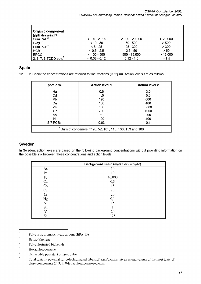| ∥ Organic component                           |                 |                  |          |
|-----------------------------------------------|-----------------|------------------|----------|
| (ppb dry weight)                              |                 |                  |          |
| $\sf I$ Sum PAH $^{\scriptscriptstyle\angle}$ | $< 300 - 2.000$ | $2.000 - 20.000$ | > 20.000 |
| B(a)P <sup>3</sup>                            | $< 10 - 50$     | $50 - 500$       | > 500    |
| $\P$ Sum PCB $^4$ .                           | $< 5 - 25$      | $25 - 300$       | > 300    |
| HCB <sup>5</sup>                              | $< 0.5 - 2.5$   | $2.5 - 50$       | > 50     |
| $\sf{I}$ EPOCI $^6$                           | $< 100 - 500$   | 500 - 15.000     | > 15.000 |
| 2, 3, 7, 8-TCDD eqv.                          | $< 0.03 - 0.12$ | $0.12 - 1.5$     | > 1.5    |

# <span id="page-10-0"></span>**Spain**

12. In Spain the concentrations are referred to fine fractions (< 63pm). Action levels are as follows:

| ppm d.w.                                               | <b>Action level 1</b> | <b>Action level 2</b> |  |
|--------------------------------------------------------|-----------------------|-----------------------|--|
| Hg                                                     | 0,6                   | 3,0                   |  |
| Cd                                                     | 1,0                   | 5,0                   |  |
| Pb                                                     | 120                   | 600                   |  |
| Cu                                                     | 100                   | 400                   |  |
| Zn                                                     | 500                   | 3000                  |  |
| Cr                                                     | 200                   | 1000                  |  |
| As                                                     | 80                    | 200                   |  |
| Ni                                                     | 100                   | 400                   |  |
| S 7 PCBs                                               | 0,03                  | 0,1                   |  |
| Sum of congeners n° 28, 52, 101, 118, 138, 153 and 180 |                       |                       |  |

# <span id="page-10-1"></span>**Sweden**

In Sweden, action levels are based on the following background concentrations without providing information on the possible link between these concentrations and action levels:

|                             | Background value (mg/kg dry weight) |
|-----------------------------|-------------------------------------|
| As                          | 10                                  |
| Pb                          | 10                                  |
| Fe                          | 40.000                              |
| $\ensuremath{\mathrm{C}} d$ | 0,3                                 |
| Co<br>Cu                    | 15                                  |
|                             | 20                                  |
| Cr                          | 20                                  |
|                             | 0,1                                 |
| Hg<br>Ni                    | 15                                  |
| Sn                          |                                     |
| V                           | 20                                  |
| Zn                          | 125                                 |

 $\sqrt{2}$ **Poly cyclic aromatic hydrocarbons (EPA 16)**

- $\overline{4}$ **Polychlorinated biphenyls**
- $\sqrt{5}$ **Hexachlorobenzene**
- $\sqrt{6}$ **Extractable persistent organic chlor**

 $\overline{\mathbf{3}}$ **Benzo(a)pyrene**

 $\boldsymbol{\tau}$ **Total toxicity potential for polychlorinated dibenzofurans/dioxins, given as equivalents of the most toxic of these components (2, 3, 7, 8-tetrachlordibenzo-p-dioxin).**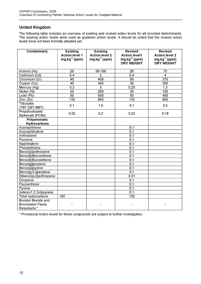# <span id="page-11-0"></span>**United Kingdom**

The following table includes an overview of existing and revised action levels for all recorded determinants. The existing action levels were used as guideline action levels. It should be noted that the revised action levels have not been formally adopted yet.

| Contaminant,            | <b>Existing</b>       | <b>Existing</b>       | <b>Revised</b>         | <b>Revised</b>        |
|-------------------------|-----------------------|-----------------------|------------------------|-----------------------|
|                         | <b>Action level 1</b> | <b>Action level 2</b> | <b>Action level1</b>   | <b>Action level 2</b> |
|                         | $mg, kg^{-1}$ (ppm)   | $mg, kg^{-1}$ (ppm)   | $mg$ , $kg^{-1}$ (ppm) | $mg, kg^{-1}$ (ppm)   |
|                         |                       |                       | <b>DRY WEIGHT</b>      | <b>DRY WEIGHT</b>     |
| Arsenic (As)            | 20                    | $50 - 100$            | 20                     | 70                    |
| Cadmium (Cd)            |                       | $\overline{2}$        | 0,4                    | $\overline{4}$        |
| Chromium (Cr)           | 0,4<br>40             | 400                   | 50                     | $\overline{370}$      |
|                         | $\overline{40}$       | 400                   | $\overline{30}$        | 300                   |
| Copper (Cu)             | $\overline{0,3}$      | $\overline{3}$        |                        | $\overline{1,5}$      |
| Mercury (Hg)            |                       |                       | 0,25                   |                       |
| Nickel (Ni)             | $\overline{20}$       | $\overline{200}$      | $\overline{30}$        | 150                   |
| Lead (Pb)               | 50                    | 500                   | $\overline{50}$        | 400                   |
| Zinc(Zn)                | 130                   | 800                   | 130                    | 600                   |
| Tributyltin             | 0,1                   | 1,0                   | 0,1                    | 0,5                   |
| (TBT, DBT, MBT)         |                       |                       |                        |                       |
| Polychlorinated         | 0,02                  | 0,2                   | 0,02                   | 0, 18                 |
| <b>Biphenyls (PCBs)</b> |                       |                       |                        |                       |
| <b>Polyaromatic</b>     |                       |                       |                        |                       |
| <b>Hydrocarbons</b>     |                       |                       |                        |                       |
| Acenaphthene            |                       |                       | 0,1                    |                       |
| Acenaphthylene          |                       |                       | 0,1                    |                       |
| Anthracene              |                       |                       | 0,1                    |                       |
| Fluorene                |                       |                       | $\overline{0,1}$       |                       |
| Naphthalene             |                       |                       | $\overline{0,1}$       |                       |
| Phenanthrene            |                       |                       | $\overline{0,1}$       |                       |
| Benzo[a]anthracene      |                       |                       | $\overline{0,1}$       |                       |
| Benzo[b]fluoranthene    |                       |                       | 0,1                    |                       |
| Benzo[k]fluoranthene    |                       |                       | 0,1                    |                       |
| Benzo[g]perylene        |                       |                       | $\overline{0,1}$       |                       |
| Benzo[a]pyrene          |                       |                       | 0,1                    |                       |
| Benzo[g,h,i]perylene    |                       |                       | $\overline{0,1}$       |                       |
| Dibenzo[a,h]anthracene  |                       |                       | 0,01                   |                       |
| Chrysene                |                       |                       | 0,1                    |                       |
| Fluoranthene            |                       |                       | $\overline{0,1}$       |                       |
| Pyrene                  |                       |                       | $\overline{0,1}$       |                       |
| Indeno(1,2,3cd)pyrene   |                       |                       | 0,1                    |                       |
| Total hydrocarbons      | 100                   |                       | 100                    |                       |
| Booster Biocide and     |                       |                       |                        |                       |
| <b>Brominated Flame</b> |                       |                       |                        |                       |
| Retardants *            |                       |                       |                        |                       |

\* Provisional Action levels for these compounds are subject to further investigation.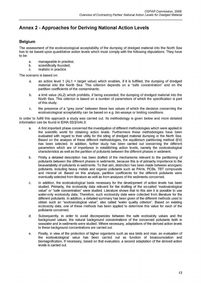# <span id="page-12-0"></span>**Annex 2 - Approaches for Deriving National Action Levels**

# <span id="page-12-1"></span>**Belgium**

The assessment of the ecotoxicological acceptability of the dumping of dredged material into the North Sea has to be based upon quantitative action levels which must comply with the following stipulations. They have to be:

- a. manageable in practice;
- b. scientifically founded;
- c. realistic in practice

The scenario is based on:

- a. an action level 1 (AL1 = target value) which enables, if it is fulfilled, the dumping of dredged material into the North Sea. This criterion depends on a "safe concentration" and on the partition coefficients of the contaminants;
- b. a limit value (AL2) which prohibits, if being exceeded, the dumping of dredged material into the North Sea. This criterion is based on a number of parameters of which the specification is part of this study;
- c. the presence of a "grey zone" between these two values of which the decision concerning the ecotoxicological acceptability can be based on e.g. bio-assays or limiting conditions.

In order to fulfill this approach a study was carried out. Its methodology is given below and more detailed information can be found in EIHA 03/2/Info.3:

- a. A first important phase concerned the investigation of different methodologies which were applied in the scientific world for obtaining action levels. Furthermore these methodologies have been evaluated with regard to their utility for the siting of dredged material dumping in the North Sea. Based on the analysis of these different methodologies, the equilibrium partitioning method (EV) has been selected. In addition, further study has been carried out concerning the different parameters which are of importance in establishing action levels, namely the ecotoxicological characteristics as well as the partition of pollutants between the different phases in sediment.
- b. Firstly a detailed description has been drafted of the mechanisms relevant to the partitioning of pollutants between the different phases in sediments, because this is of primarily importance to the bioavailability of pollutants in sediments. To that aim, distinction has been made between anorganic pollutants, including heavy metals and organic pollutants such as PAHs, PCBs, TBT compounds and mineral oil. Based on this analysis, partition coefficients for the different pollutants were eventually selected from literature as well as from analyses ofthe sediments concerned.
- c. In addition, the ecotoxicological basis necessary for the development of action levels has been studied. Primarily, the ecotoxicity data relevant for the drafting of the so-called "exotoxicological value" or "safe concentration" were studied. Literature shows that to this aim it is possible to use water-only ecotoxicity data. Therefore, such ecotoxicity data were collected from literature for the different pollutants. In addition, a detailed summary has been given ofthe different methods used to obtain such an "ecotoxicological value", also called "water quality criterion". Based on existing ecotoxicity data, one of these methods has been applied to determine this value for each of the pollutants concerned.
- d. Subsequently, in order to avoid discrepancies between the safe ecotoxicity values and the background values, the natural background concentrations of the concerned pollutants both in seawater and in sediments were studied. Where necessary, adaptations ofthe derived action levels to these background concentrations are carried out.
- e. Finally, in view of the protection of higher organisms such as sea birds and man, an evaluation of the ecotoxicological value has been carried out as function of bioaccumulation and biomagnification. If necessary, based on that evaluation, a second adaptation ofthe derived action levels is carried out.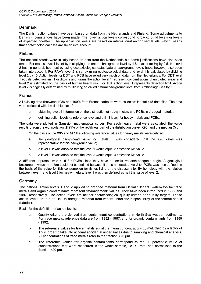# <span id="page-13-0"></span>**Denmark**

The Danish action values have been based on data from the Netherlands and Finland. Some adjustments to Danish circumstances have been made. The lower action levels correspond to background levels or levels of expected no-effect. The upper action levels are based on international recognised levels, which means that ecotoxicological data are taken into account.

#### <span id="page-13-1"></span>**Finland**

The national criteria were initially based on data from the Netherlands but some justifications have also been made. For metals level 1 is set by multiplying the natural background level by 1.5, except for Hg by 2.5. the level 2 has, in general, been set by using ecotoxicological data. Natural background levels have, however also been taken into account. For PAH's level 2 is set by using ecotoxicological data and level 1 is calculated by dividing level 2 by 10. Action levels for DDT and PCB have relied very much on data from the Netherlands. For DDT level 1 equals detection limit. For dioxins and furans the action level 1 represent concentrations of unloaded areas and level 2 is estimated on the basis of human health risk. For TBT action level 1 represents detection limit. Action level 2 is originally determined by multiplying so called natural background level from Archipelago Sea by 5.

#### <span id="page-13-2"></span>**France**

All existing data (between 1986 and 1990) from French harbours were collected: in total 445 data files. The data were collected with the double aim of:

- a. obtaining overall information on the distribution of heavy metals and PCBs in dredged material;
- b. defining action levels (a reference level and a limit level) for heavy metals and PCBs.

The data were plotted in Gaussion mathematical curves. For each heavy metal were calculated: the value resulting from the extrapolation till 95% of the rectilinear part of the distribution curve (X95) and the median (Md).

On the basis of the X95 and MD the following reference values for heavy metals were defined:

- a. the geological background value for metals, it was considered that the X95 value was representative for this background value;
- b. a level 1; it was adopted that the level 1 would equal 2 times the Md value
- c. a level 2; it was adopted that the level 2 would equal 4 times the Md value.

A different approach was held for PCBs since they have an exclusive anthropogenic origin. A geological background value therefore could not be defined because it does not exist. Level 2 for PCBs was then defined on the basis of the value for fish consumption for fishes living at the disposal site. By homology with the relation between level 1 and level 2 for heavy metals, level 1 was then defined as half the value of level 2.

#### <span id="page-13-3"></span>**Germany**

The national action levels 1 and 2 applied to dredged material from German federal waterways for trace metals and organic contaminants represent "management" values. They have been introduced in 1992 and 1997, respectively. The action levels are neither ecotoxicological quality criteria nor quality targets. These action levels are not applied to dredged material from waters under the responsibility of the federal states (Länder).

Basis for the definition of action levels:

- a. Quality criteria are derived from contaminant concentrations in North Sea wadden sediments. For trace metals, reference data are from 1982 - 1987, and for organic contaminants from 1989 - 1992.
- b. The reference values for trace metals equal the mean concentrations  $c_m$  multiplied by a factor of 1,5 in order to take into account accidental uncertainties due to sampling and chemical analysis. All concentrations of trace metals refer to the fraction <20 µm.
- c. The reference values for organic contaminants correspond to the 90 percentile value of concentrations that were measured in the whole sample, i.e. <2 mm, and normalised to the fraction  $<$  20  $\mu$ m.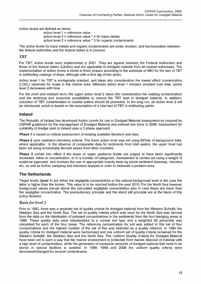Action levels are defined as below:

```
action level 1 = reference value
action level 2 = reference value * 5 for trace metals
action level 2 = reference value * 3 for organic contaminants
```
The action levels for trace metals and organic contaminants are under revision, and harmonisation between the federal authorities and the federal states is in process.

#### *TBT*

For TBT, action levels were implemented in 2001. They are agreed between the Federal Authorities and those of the federal states (Länder) and are applicable to dredged material from all coastal waterways. The implementation of action levels is tiered in three phases according to the schedule of IMO for the ban of TBT in antifouling coatings of ships, although with a time lag of two years.

Action level 1 for TBT is ecologically oriented, and takes into consideration the lowest effect concentration (LOEL) observed for snails in the marine area. Whereas action level 1 remains constant over time, action level 2 decreases with time.

For the short and medium term, the upper action level 2 takes into consideration the existing contamination and the technical and economic possibilities to reduce the TBT load in dredged material. In addition, reduction of TBT contamination in coastal waters should be promoted. In the long run, an action level 2 will be introduced, which is based on the assumption of a total ban of TBT in antifouling paints.

#### <span id="page-14-0"></span>**Ireland**

The Republic of Ireland has developed Action Levels for use in Dredged Material assessment as required by OSPAR guidelines for the management of Dredged Material and entered into force in 2006. Assessment for suitability of dredge spoil in Ireland uses a 3 phase approach.

*Phase 1* is based on critical assessment of existing available literature and data.

**Phase 2** uses sediment chemistry criteria. The lower action level was set using 95%ile of background data, where applicable. In the absence of comparable data for sediments from Irish waters, the upper level has been set using ecotoxically derived values from other countries.

**Phase 3** comes into effect if the lower or upper guidance levels are judged to have been significantly exceeded, either in concentration, or in a number of categories. Assessment is carried out using a weight of evidence approach, and involves the use of appropriate toxicity tests eg whole sediment bioassay, microtox etc, as well as further sampling and chemical analysis in order to delineate a problem area.

# <span id="page-14-1"></span>**The Netherlands**

Target levels **(level 1)** are either the negligible concentration or the natural background level in the case the latter is higher than the former. This value is to be reached before the year 2010. For the North Sea however background values prevail above the calculated negligible concentration also in case these are lower than the negligible concentration. The precautionary principle and the stand still principle are at the basis of this policy decision.

#### *Basis for level 2*

Prior to 1993, there was a separate set of quality criteria for dredged material from the Western Scheldt, the Wadden Sea and the North Sea. The set of quality criteria which was used for the North Sea was derived from the data on the distribution of pollutant concentrations in the sediments from the four dredging areas in 1988. These quality data were standardised to a normal soil type and a weighted 99 percentile was calculated for each of the four areas. The reference concentration for soil was added to this set of four concentrations and the highest number of the set of five was selected as a quality criterion. In 1994 the quality criteria for dredged material were harmonised and one uniform set of quality criteria remained for the Western Scheldt, the Wadden Sea and the North Sea. The Uniform Quality Criteria for Dredged Material have been set in such a way that the marine environment is protected from marine disposal of material with a high level of contamination, while the generation of excessive amounts of dredged material that need to be stored in special facilities is avoided. In 1994, 1998 and 2006 the uniform quality criteria were decreased/changed for several contaminants.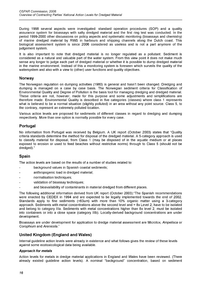During 1998 several aspects were investigated: standard operation procedures (SOP) and a quality assurance system for bioassays with salty dredged material and the first ring test was conducted. In the period 1999-2000 other discussions on policy aspects and systematic monitoring (bioassays and chemistry) of marine dredged material by RWS in harbours and shipping channels along the Dutch coast. This biological assessment system is since 2006 considered as useless and is not a part anymore of the judgement system.

It is also important to note that dredged material is no longer regulated as a pollutant. Sediment is considered as a natural and valuable part of the water system. From this view point it does not make much sense any longer to judge each part of dredged material or whether it is possible to dump dredged material in the marine environment. Instead of this a monitoring system is foreseen which surveils the quality of the watersystem and also with a view to (other) user functions and quality objectives.

#### <span id="page-15-0"></span>**Norway**

The Norwegian regulation on dumping activities (1980) is general and hasn't been changed. Dredging and dumping is managed on a case by case basis. The Norwegian sediment criteria for Classification of Environmental Quality and Degree of Pollution is the basis tool for managing dredging and dredged material. These criteria are not, however, made for this purpose and some adjustments and simplifications are therefore made. Environmental Quality is described in five categories (classes) where class 1 represents what is believed to be a normal situation (slightly polluted) in an area without any point source. Class 5, to the contrary, represent an extremely polluted location.

Various action levels are proposed for sediments of different classes in regard to dredging and dumping respectively. More than one option is normally possible for every case.

# <span id="page-15-1"></span>**Portugal**

No information from Portugal was received by Belgium. A UK report (October 2003) states that "Quality criteria standards determine the method for disposal of the dredged material. A 5-category approach is used to classify material for disposal, from Class 1 (may be disposed of in the aquatic medium or at places exposed to erosion or used to feed beaches without restrictive norms) through to Class 5 (should not be dredged)."

# <span id="page-15-2"></span>**Spain**

The action levels are based on the results of a number of studies related to:

- background values in Spanish coastal sediments;
- anthropogenic load in dredged material;
- normalisation techniques;
- validation of bioassay techniques;
- and bioavailability of contaminants in material dredged from different places.

The following additional information derived from UK report (October 2003):"The Spanish recommendations were enacted by CEDEX in 1994 and are expected to be legally implemented towards the end of 2002. Standards apply to fine sediments (<63um) with more than 10% organic matter using a 3-category approach. Sediments with metal concentrations above the second level and = 8x Level 2, have to be isolated and belong to category Illa. Sediments with metal concentrations higher than 8x level 2, must be isolated into containers or into a close space (category lllb). Locally-derived background concentrations are under development.

Bioassays are under development for application to dredge material assessment are Microtox, *Ampelisca* or *Corophium* and *Arenicola."*

# <span id="page-15-3"></span>**United Kingdom (England and Wales)**

Internal guideline action levels were already in existence and what follows gives the review of these levels against some ecotoxicological data being available.

#### *Approach for metals*

Action levels for metals in dredge material applications in England and Wales have been reviewed. (There already existed guideline action levels). A nominal "background" concentration, based on sediment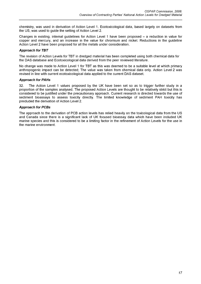chemistry, was used in derivation of Action Level 1. Ecotoxicological data, based largely on datasets from the US, was used to guide the setting of Action Level 2.

Changes in existing, internal quidelines for Action Level 1 have been proposed – a reduction in value for copper and mercury, and an increase in the value for chromium and nickel. Reductions in the guideline Action Level 2 have been proposed for all the metals under consideration.

#### *Approach for TBT*

The revision of Action Levels for TBT in dredged material has been completed using both chemical data for the DAS database and Ecotoxicological data derived from the peer reviewed literature.

No change was made to Action Level 1 for TBT as this was deemed to be a suitable level at which primary anthropogenic impact can be detected; The value was taken from chemical data only. Action Level 2 was revised in line with current ecotoxicological data applied to the current DAS dataset.

#### *Approach for PAHs*

32. The Action Level 1 values proposed by the UK have been set so as to trigger further study in a proportion ofthe samples analysed. The proposed Action Levels are thought to be relatively strict but this is considered to be justified under the precautionary approach. Current research is directed towards the use of sediment bioassays to assess toxicity directly. The limited knowledge of sediment PAH toxicity has precluded the derivation of Action Level 2.

#### *Approach for PCBs*

The approach to the derivation of PCB action levels has relied heavily on the toxicological data from the US and Canada since there is a significant lack of UK focused bioassay data which have been included UK marine species and this is considered to be a limiting factor in the refinement of Action Levels for the use in the marine environment.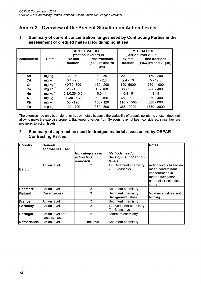# <span id="page-17-0"></span>**Annex 3 - Overview ofthe Present Situation on Action Levels**

**1. Summary of current concentration ranges used by Contracting Parties in the assessment of dredged material for dumping at sea**

|             |               | <b>TARGET VALUES</b><br>("action level 1") in                            |             | <b>LIMIT VALUES</b><br>("action level 2") in |                                               |
|-------------|---------------|--------------------------------------------------------------------------|-------------|----------------------------------------------|-----------------------------------------------|
| Contaminant | <b>Units</b>  | fine fractions<br>$<$ 2 mm<br>$(63 \mu m$ and 20<br>fraction<br>$\mu$ m) |             | $<$ 2 mm<br>fraction                         | fine fractions<br>$(63 \mu m$ and 20 $\mu$ m) |
| As          | mg kg $^{-1}$ | $20 - 80$                                                                | $30 - 80$   | $29 - 1000$                                  | 150 - 200                                     |
| Cd          | mg kg $^{-1}$ | $0.4 - 2.5$                                                              | $1 - 2,5$   | $2,4 - 10$                                   | $5 - 12.5$                                    |
| cr          | mg kg $^{-1}$ | 40/50-300                                                                | 150 - 200   | 120-5000                                     | 750 - 1000                                    |
| Cu          | mg kg $^{-1}$ | $20 - 150$                                                               | $40 - 100$  | $60 - 1500$                                  | $200 - 400$                                   |
| Hg          | mg kg $^{-1}$ | $0,3/0,25 - 0,6$                                                         | $0,6 - 1$   | $0.8 - 5$                                    | $3 - 5$                                       |
| Ni          | mg kg $^{-1}$ | 20/30 - 130                                                              | $50 - 100$  | 45 - 1500                                    | $250 - 400$                                   |
| Pb          | mg kg $^{-1}$ | $50 - 120$                                                               | 100 - 120   | $110 - 1500$                                 | $500 - 600$                                   |
| Zn          | mg kg $^{-1}$ | 130 - 700                                                                | $350 - 500$ | 365-10000                                    | 1750 - 3000                                   |

The exercise had only been done for heavy metals because the variability of organic pollutants chosen does not allow to make the exercise properly. Background values from Sweden have not been considered, since they are not linked to action levels.

# **2. Summary of approaches used in dredged material assessment by OSPAR Contracting Parties**

| <b>Country</b>  | General<br>approaches used       |                                               |                                                                  | <b>Notes</b>                                                                                                          |
|-----------------|----------------------------------|-----------------------------------------------|------------------------------------------------------------------|-----------------------------------------------------------------------------------------------------------------------|
|                 |                                  | No. categories in<br>action level<br>approach | <b>Methods used in</b><br>development of action<br><b>levels</b> |                                                                                                                       |
| Belgium         | <b>Action level</b>              | 3                                             | 1)<br>Sediment chemistry<br>2)<br><b>Bioassays</b>               | Action levels based on<br>mean contaminant<br>concentration in<br>marine navigation<br>channels + scientific<br>studv |
| <b>IDenmark</b> | Action level                     | 3                                             | Sediment chemistry                                               |                                                                                                                       |
| <b>IFinland</b> | Case-by-case                     | 3                                             | Sediment chemistry<br><b>Background values</b>                   | Guidance values, not<br>binding                                                                                       |
| <b>IFrance</b>  | Action level                     | 3                                             | Sediment chemistry                                               |                                                                                                                       |
| Germany         | <b>Action level</b>              | 3                                             | Sediment chemistry<br>1)<br><b>Bioassays</b>                     |                                                                                                                       |
| Portugal        | Action level and<br>case-by-case | 5                                             | sediment chemistry                                               |                                                                                                                       |
| Netherlands     | Action level                     | limit level                                   | Sediment chemistry                                               |                                                                                                                       |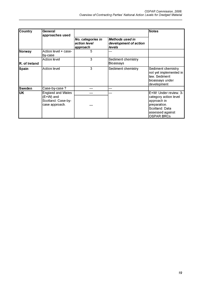| <b>Country</b> | General<br>approaches used                                                    |                                               |                                                           | <b>Notes</b>                                                                                                                             |
|----------------|-------------------------------------------------------------------------------|-----------------------------------------------|-----------------------------------------------------------|------------------------------------------------------------------------------------------------------------------------------------------|
|                |                                                                               | No. categories in<br>action level<br>approach | <b>Methods used in</b><br>development of action<br>levels |                                                                                                                                          |
| Norway         | Action level + case-<br>by-case                                               | 5                                             |                                                           |                                                                                                                                          |
| R. of Ireland  | Action level                                                                  | 3                                             | Sediment chemistry<br>Bioassays                           |                                                                                                                                          |
| <b>Spain</b>   | Action level                                                                  | 3                                             | Sediment chemistry                                        | Sediment chemistry<br>not yet implemented in<br>law. Sediment<br>bioassays under<br>development                                          |
| <b>Sweden</b>  | Case-by-case?                                                                 | ---                                           | ---                                                       |                                                                                                                                          |
| <b>UK</b>      | <b>England and Wales</b><br>(E+W) and<br>Scotland: Case-by-<br>case approach. | ---                                           | ---                                                       | E+W: Under review. 3-<br>category action level<br>approach in<br>preparation.<br>Scotland: Data<br>assessed against<br><b>OSPAR BRCs</b> |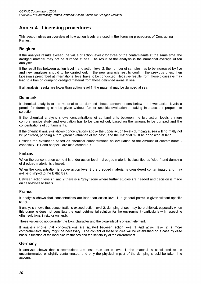# <span id="page-19-0"></span>**Annex 4 - Licensing procedures**

This section gives an overview of how action levels are used in the licensing procedures of Contracting Parties.

# <span id="page-19-1"></span>**Belgium**

If the analysis results exceed the value of action level 2 for three ofthe contaminants at the same time, the dredged material may not be dumped at sea. The result of the analysis is the numerical average of ten analyses.

If the result lies between action level 1 and action level 2, the number of samples has to be increased by five and new analyses should to be carried out. If the new analysis results confirm the previous ones, then bioassays prescribed at international level have to be conducted. Negative results from these bioassays may lead to a ban on dumping dredged material from these delimited areas at sea.

<span id="page-19-2"></span>If all analysis results are lower than action level 1, the material may be dumped at sea.

# **Denmark**

If chemical analysis of the material to be dumped shows concentrations below the lower action levels a permit for dumping can be given without further specific evaluations - taking into account proper site selection.

If the chemical analysis shows concentrations of contaminants between the two action levels a more comprehensive study and evaluation has to be carried out, based on the amount to be dumped and the concentrations of contaminants.

If the chemical analysis shows concentrations above the upper action levels dumping at sea will normally not be permitted, pending a throughout evaluation of the case, and the material must be deposited at land.

Besides the evaluation based on chemical concentrations an evaluation of the amount of contaminants especially TBT and copper - are also carried out.

# <span id="page-19-3"></span>**Finland**

When the concentration content is under action level 1 dredged material is classified as "clean" and dumping of dredged material is allowed.

When the concentration is above action level 2 the dredged material is considered contaminated and may not be dumped to the Baltic Sea.

Between action levels 1 and 2 there is a "grey" zone where further studies are needed and decision is made on case-by-case basis.

#### <span id="page-19-4"></span>**France**

If analysis shows that concentrations are less than action level 1, a general permit is given without specific study.

If analysis shows that concentrations exceed action level 2, dumping at sea may be prohibited, especially when this dumping does not constitute the least detrimental solution for the environment (particularly with respect to other solutions, in situ or on land).

These values do not consider the toxic character and the bioavailability of each element.

If analysis shows that concentrations are situated between action level 1 and action level 2, a more comprehensive study might be necessary. The content of these studies will be established on a case by case basis in function of the local circumstances and the sensibility of the environment.

#### <span id="page-19-5"></span>**Germany**

If analysis shows that concentrations are less than action level 1, the material is considered to be uncontaminated or slightly contaminated, and only the physical impact of the dumping should be taken into account.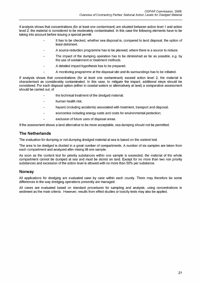If analysis shows that concentrations (for at least one contaminant) are situated between action level 1 and action level 2, the material is considered to be moderately contaminated. In this case the following elements have to be taking into account before issuing a special permit:

- It has to be checked, whether sea disposal is, compared to land disposal, the option of least detriment.
- A source-reduction programme has to be planned, where there is a source to reduce.
- The impact of the dumping operation has to be diminished as far as possible, e.g. by the use of containment or treatment methods.
- A detailed impact hypothesis has to be prepared.
- A monitoring programme at the disposal site and its surroundings has to be initiated.

If analysis shows that concentrations (for at least one contaminant) exceed action level 2, the material is characterised as considerably contaminated. In this case, to mitigate the impact, additional steps should be considered. For each disposal option (either in coastal waters or alternatively at land) a comparative assessment should be carried out, of

- the technical treatment of the dredged material;  $\overline{a}$
- human health risk;
- hazard (including accidents) associated with treatment, transport and disposal;
- economics including energy costs and costs for environmental protection;  $\overline{a}$ 
	- exclusion of future uses of disposal areas.

<span id="page-20-0"></span>If the assessment shows a land alternative to be more acceptable, sea dumping should not be permitted.

#### **The Netherlands**

The evaluation for dumping or not dumping dredged material at sea is based on the content test.

The area to be dredged is divided in a great number of compartments. A number of six samples are taken from each compartment and analyzed after mixing till one sample.

As soon as the content test for priority substances within one sample is exceeded, the material of the whole compartment cannot be dumped at sea and must be stored on land. Except for no more than two non priority substances and excession of the action level is allowed with no more than 50% per substance.

#### <span id="page-20-1"></span>**Norway**

All applications for dredging are evaluated case by case within each county. There may therefore be some differences in the way dredging operations presently are managed.

All cases are evaluated based on standard procedures for sampling and analysis, using concentrations in sediment as the main criteria. However, results from effect studies or toxicity tests may also be applied.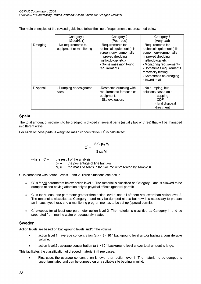The main principles of the revised guidelines follow the line of requirements as presented below:

|          | Category 1                                      | Category 2                                                                                                                                                     | Category 3                                                                                                                                                                                                                                          |
|----------|-------------------------------------------------|----------------------------------------------------------------------------------------------------------------------------------------------------------------|-----------------------------------------------------------------------------------------------------------------------------------------------------------------------------------------------------------------------------------------------------|
|          | (Good/fair)                                     | (Poor-bad)                                                                                                                                                     | (Very bad)                                                                                                                                                                                                                                          |
| Dredging | - No requirements to<br>equipment or monitoring | - Requirements for<br>technical equipment (silt<br>screen, environmentally<br>improved dredging<br>methodology etc.)<br>- Sometimes monitoring<br>requirements | - Requirements for<br>technical equipment (silt<br>screen, environmentally<br>improved dredging<br>methodology etc.)<br>- Monitoring requirements<br>- Sometimes requirements<br>for toxicity testing<br>- Sometimes no dredging<br>allowed at all. |
| Disposal | - Dumping at designated<br>sites.               | -Restricted dumping with<br>requirements for technical<br>equipment.<br>- Site evaluation.                                                                     | - No dumping, but<br>solutions based on :<br>- capping<br>- CDF<br>- land disposal<br>-treatment                                                                                                                                                    |

# <span id="page-21-0"></span>**Spain**

The total amount of sediment to be dredged is divided in several parts (usually two or three) that will be managed in different ways.

For each of these parts, a weighted mean concentration,  $C^{\dagger}$ , is calculated:

$$
C^* = \frac{S\ C_i\ p_{F1}\ M_i}{S\ p_{F1}\ M_i}
$$

where  $C_i =$  the result of the analysis

 $p_{FI}$  = the percentage of fine fraction  $M_i =$  the mass of solids in the volume represented by sample # i.

C<sup> $\dot{ }$ </sup> is compared with Action Levels 1 and 2. Three situations can occur:

- $\bullet$   $\circ$  C<sup>\*</sup> is for all parameters below action level 1. The material is classified as Category I. and is allowed to be dumped at sea paying attention only to physical effects (general permit).
- $\tilde{c}$  is for at least one parameter greater than action level 1 and all of them are lower than action level 2. The material is classified as Category II and may be dumped at sea but now it is necessary to prepare an impact hypothesis and a monitoring programme has to be set up (special permit).
- C<sup>\*</sup> exceeds for at least one parameter action level 2. The material is classified as Category III and be separated from marine water or adequately treated.

# <span id="page-21-1"></span>**Sweden**

Action levels are based on background levels and/or the volume:

- action level 1 : average concentration  $(a<sub>c</sub>) = 3 10$  \* background level and/or having a considerable volume;
- action level 2 : average concentration  $(a<sub>c</sub>) > 10$  \* background level and/or total amount is large.

This facilitates the classification of dredged material in three cases:

• First case: the average concentration is lower than action level 1. The material to be dumped is uncontaminated and can be dumped on any suitable site bearing in mind: